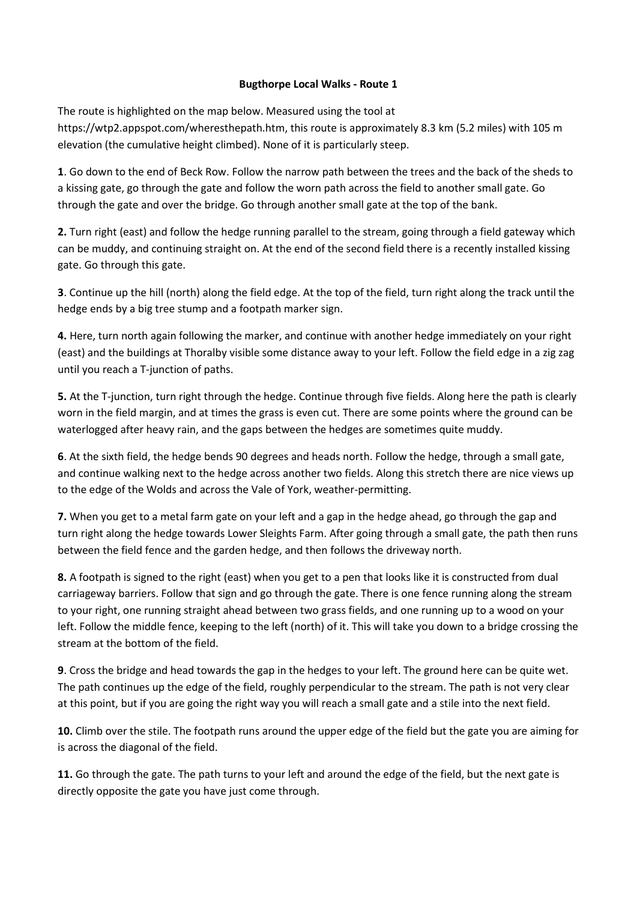## Bugthorpe Local Walks - Route 1

The route is highlighted on the map below. Measured using the tool at https://wtp2.appspot.com/wheresthepath.htm, this route is approximately 8.3 km (5.2 miles) with 105 m elevation (the cumulative height climbed). None of it is particularly steep.

1. Go down to the end of Beck Row. Follow the narrow path between the trees and the back of the sheds to a kissing gate, go through the gate and follow the worn path across the field to another small gate. Go through the gate and over the bridge. Go through another small gate at the top of the bank.

2. Turn right (east) and follow the hedge running parallel to the stream, going through a field gateway which can be muddy, and continuing straight on. At the end of the second field there is a recently installed kissing gate. Go through this gate.

3. Continue up the hill (north) along the field edge. At the top of the field, turn right along the track until the hedge ends by a big tree stump and a footpath marker sign.

4. Here, turn north again following the marker, and continue with another hedge immediately on your right (east) and the buildings at Thoralby visible some distance away to your left. Follow the field edge in a zig zag until you reach a T-junction of paths.

5. At the T-junction, turn right through the hedge. Continue through five fields. Along here the path is clearly worn in the field margin, and at times the grass is even cut. There are some points where the ground can be waterlogged after heavy rain, and the gaps between the hedges are sometimes quite muddy.

6. At the sixth field, the hedge bends 90 degrees and heads north. Follow the hedge, through a small gate, and continue walking next to the hedge across another two fields. Along this stretch there are nice views up to the edge of the Wolds and across the Vale of York, weather-permitting.

7. When you get to a metal farm gate on your left and a gap in the hedge ahead, go through the gap and turn right along the hedge towards Lower Sleights Farm. After going through a small gate, the path then runs between the field fence and the garden hedge, and then follows the driveway north.

8. A footpath is signed to the right (east) when you get to a pen that looks like it is constructed from dual carriageway barriers. Follow that sign and go through the gate. There is one fence running along the stream to your right, one running straight ahead between two grass fields, and one running up to a wood on your left. Follow the middle fence, keeping to the left (north) of it. This will take you down to a bridge crossing the stream at the bottom of the field.

9. Cross the bridge and head towards the gap in the hedges to your left. The ground here can be quite wet. The path continues up the edge of the field, roughly perpendicular to the stream. The path is not very clear at this point, but if you are going the right way you will reach a small gate and a stile into the next field.

10. Climb over the stile. The footpath runs around the upper edge of the field but the gate you are aiming for is across the diagonal of the field.

11. Go through the gate. The path turns to your left and around the edge of the field, but the next gate is directly opposite the gate you have just come through.